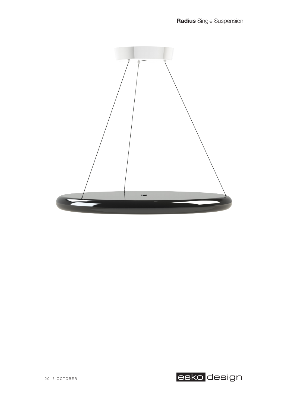